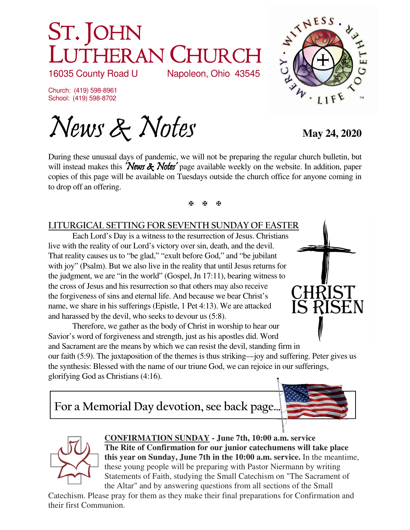# ST. JOHN LUTHERAN CHURCH<br>16035 County Road U Napoleon, Ohio 43545 Napoleon, Ohio 43545

Church: (419) 598-8961 School: (419) 598-8702

News & Notes May 24, 2020

During these unusual days of pandemic, we will not be preparing the regular church bulletin, but will instead makes this 'News & Notes' page available weekly on the website. In addition, paper copies of this page will be available on Tuesdays outside the church office for anyone coming in to drop off an offering.

## 医图图

## **LITURGICAL SETTING FOR SEVENTH SUNDAY OF EASTER**

Each Lord's Day is a witness to the resurrection of Jesus. Christians live with the reality of our Lord's victory over sin, death, and the devil. That reality causes us to "be glad," "exult before God," and "be jubilant with joy" (Psalm). But we also live in the reality that until Jesus returns for the judgment, we are "in the world" (Gospel, Jn 17:11), bearing witness to the cross of Jesus and his resurrection so that others may also receive the forgiveness of sins and eternal life. And because we bear Christ's name, we share in his sufferings (Epistle, 1 Pet 4:13). We are attacked and harassed by the devil, who seeks to devour us (5:8).

Therefore, we gather as the body of Christ in worship to hear our Savior's word of forgiveness and strength, just as his apostles did. Word and Sacrament are the means by which we can resist the devil, standing firm in our faith (5:9). The juxtaposition of the themes is thus striking—joy and suffering. Peter gives us the synthesis: Blessed with the name of our triune God, we can rejoice in our sufferings, glorifying God as Christians (4:16).

**For a Memorial Day devotion, see back page…** 





**CONFIRMATION SUNDAY - June 7th, 10:00 a.m. service The Rite of Confirmation for our junior catechumens will take place this year on Sunday, June 7th in the 10:00 a.m. service.** In the meantime, these young people will be preparing with Pastor Niermann by writing Statements of Faith, studying the Small Catechism on "The Sacrament of the Altar" and by answering questions from all sections of the Small

Catechism. Please pray for them as they make their final preparations for Confirmation and their first Communion.

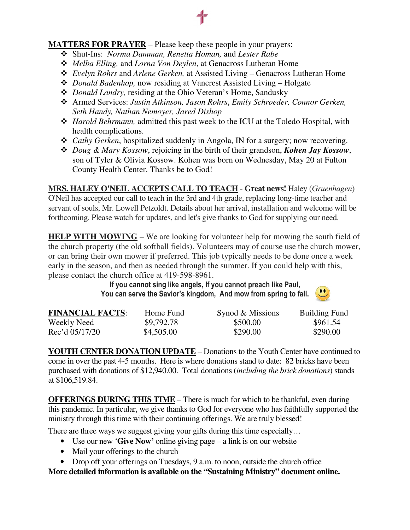#### **MATTERS FOR PRAYER** – Please keep these people in your prayers:

- Shut-Ins: *Norma Damman, Renetta Homan,* and *Lester Rabe*
- *Melba Elling,* and *Lorna Von Deylen*, at Genacross Lutheran Home
- *Evelyn Rohrs* and *Arlene Gerken,* at Assisted Living Genacross Lutheran Home
- *Donald Badenhop,* now residing at Vancrest Assisted Living Holgate
- *Donald Landry,* residing at the Ohio Veteran's Home, Sandusky
- Armed Services: *Justin Atkinson, Jason Rohrs*, *Emily Schroeder, Connor Gerken, Seth Handy, Nathan Nemoyer, Jared Dishop*
- *Harold Behrmann,* admitted this past week to the ICU at the Toledo Hospital, with health complications.
- *Cathy Gerken*, hospitalized suddenly in Angola, IN for a surgery; now recovering.
- *Doug & Mary Kossow*, rejoicing in the birth of their grandson, *Kohen Jay Kossow*, son of Tyler & Olivia Kossow. Kohen was born on Wednesday, May 20 at Fulton County Health Center. Thanks be to God!

**MRS. HALEY O'NEIL ACCEPTS CALL TO TEACH** - **Great news!** Haley (*Gruenhagen*) O'Neil has accepted our call to teach in the 3rd and 4th grade, replacing long-time teacher and servant of souls, Mr. Lowell Petzoldt. Details about her arrival, installation and welcome will be forthcoming. Please watch for updates, and let's give thanks to God for supplying our need.

**HELP WITH MOWING** – We are looking for volunteer help for mowing the south field of the church property (the old softball fields). Volunteers may of course use the church mower, or can bring their own mower if preferred. This job typically needs to be done once a week early in the season, and then as needed through the summer. If you could help with this, please contact the church office at 419-598-8961.

> **If you cannot sing like angels, If you cannot preach like Paul, You can serve the Savior's kingdom, And mow from spring to fall.**



| <b>FINANCIAL FACTS:</b> | Home Fund  | Synod & Missions | <b>Building Fund</b> |
|-------------------------|------------|------------------|----------------------|
| Weekly Need             | \$9,792.78 | \$500.00         | \$961.54             |
| Rec'd 05/17/20          | \$4,505.00 | \$290.00         | \$290.00             |

**YOUTH CENTER DONATION UPDATE** – Donations to the Youth Center have continued to come in over the past 4-5 months. Here is where donations stand to date: 82 bricks have been purchased with donations of \$12,940.00. Total donations (*including the brick donations*) stands at \$106,519.84.

**OFFERINGS DURING THIS TIME** – There is much for which to be thankful, even during this pandemic. In particular, we give thanks to God for everyone who has faithfully supported the ministry through this time with their continuing offerings. We are truly blessed!

There are three ways we suggest giving your gifts during this time especially...

- Use our new '**Give Now'** online giving page a link is on our website
- Mail your offerings to the church
- Drop off your offerings on Tuesdays, 9 a.m. to noon, outside the church office

**More detailed information is available on the "Sustaining Ministry" document online.**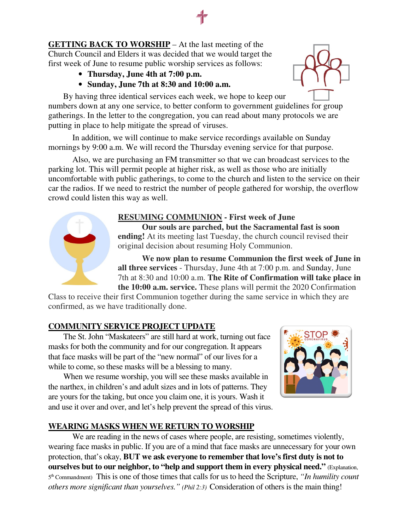**GETTING BACK TO WORSHIP** – At the last meeting of the Church Council and Elders it was decided that we would target the first week of June to resume public worship services as follows:

- **Thursday, June 4th at 7:00 p.m.**
- **Sunday, June 7th at 8:30 and 10:00 a.m.**

By having three identical services each week, we hope to keep our numbers down at any one service, to better conform to government guidelines for group gatherings. In the letter to the congregation, you can read about many protocols we are putting in place to help mitigate the spread of viruses.

In addition, we will continue to make service recordings available on Sunday mornings by 9:00 a.m. We will record the Thursday evening service for that purpose.

Also, we are purchasing an FM transmitter so that we can broadcast services to the parking lot. This will permit people at higher risk, as well as those who are initially uncomfortable with public gatherings, to come to the church and listen to the service on their car the radios. If we need to restrict the number of people gathered for worship, the overflow crowd could listen this way as well.



## **RESUMING COMMUNION - First week of June**

**Our souls are parched, but the Sacramental fast is soon ending!** At its meeting last Tuesday, the church council revised their original decision about resuming Holy Communion.

**We now plan to resume Communion the first week of June in all three services** - Thursday, June 4th at 7:00 p.m. and Sunday, June 7th at 8:30 and 10:00 a.m. **The Rite of Confirmation will take place in the 10:00 a.m. service.** These plans will permit the 2020 Confirmation

Class to receive their first Communion together during the same service in which they are confirmed, as we have traditionally done.

## **COMMUNITY SERVICE PROJECT UPDATE**

The St. John "Maskateers" are still hard at work, turning out face masks for both the community and for our congregation. It appears that face masks will be part of the "new normal" of our lives for a while to come, so these masks will be a blessing to many.

When we resume worship, you will see these masks available in the narthex, in children's and adult sizes and in lots of patterns. They are yours for the taking, but once you claim one, it is yours. Wash it and use it over and over, and let's help prevent the spread of this virus.



## **WEARING MASKS WHEN WE RETURN TO WORSHIP**

We are reading in the news of cases where people, are resisting, sometimes violently, wearing face masks in public. If you are of a mind that face masks are unnecessary for your own protection, that's okay, **BUT we ask everyone to remember that love's first duty is not to ourselves but to our neighbor, to "help and support them in every physical need."** (Explanation, 5 th Commandment) This is one of those times that calls for us to heed the Scripture, *"In humility count others more significant than yourselves." (Phil 2:3)* Consideration of others is the main thing!

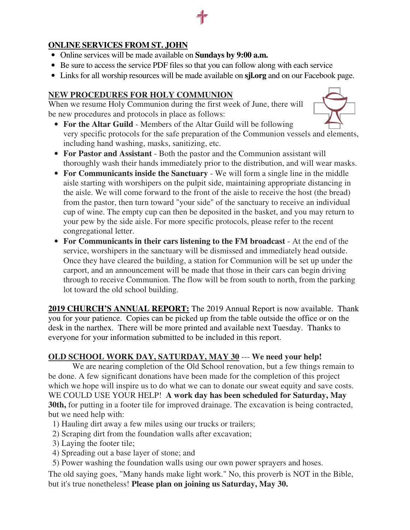### **ONLINE SERVICES FROM ST. JOHN**

- Online services will be made available on **Sundays by 9:00 a.m.**
- Be sure to access the service PDF files so that you can follow along with each service
- Links for all worship resources will be made available on **sjl.org** and on our Facebook page.

#### **NEW PROCEDURES FOR HOLY COMMUNION**

When we resume Holy Communion during the first week of June, there will be new procedures and protocols in place as follows:



- **For the Altar Guild** Members of the Altar Guild will be following very specific protocols for the safe preparation of the Communion vessels and elements, including hand washing, masks, sanitizing, etc.
- **For Pastor and Assistant**  Both the pastor and the Communion assistant will thoroughly wash their hands immediately prior to the distribution, and will wear masks.
- **For Communicants inside the Sanctuary** We will form a single line in the middle aisle starting with worshipers on the pulpit side, maintaining appropriate distancing in the aisle. We will come forward to the front of the aisle to receive the host (the bread) from the pastor, then turn toward "your side" of the sanctuary to receive an individual cup of wine. The empty cup can then be deposited in the basket, and you may return to your pew by the side aisle. For more specific protocols, please refer to the recent congregational letter.
- **For Communicants in their cars listening to the FM broadcast**  At the end of the service, worshipers in the sanctuary will be dismissed and immediately head outside. Once they have cleared the building, a station for Communion will be set up under the carport, and an announcement will be made that those in their cars can begin driving through to receive Communion. The flow will be from south to north, from the parking lot toward the old school building.

**2019 CHURCH'S ANNUAL REPORT:** The 2019 Annual Report is now available. Thank you for your patience. Copies can be picked up from the table outside the office or on the desk in the narthex. There will be more printed and available next Tuesday. Thanks to everyone for your information submitted to be included in this report.

## **OLD SCHOOL WORK DAY, SATURDAY, MAY 30** --- **We need your help!**

We are nearing completion of the Old School renovation, but a few things remain to be done. A few significant donations have been made for the completion of this project which we hope will inspire us to do what we can to donate our sweat equity and save costs. WE COULD USE YOUR HELP! **A work day has been scheduled for Saturday, May 30th,** for putting in a footer tile for improved drainage. The excavation is being contracted, but we need help with:

- 1) Hauling dirt away a few miles using our trucks or trailers;
- 2) Scraping dirt from the foundation walls after excavation;
- 3) Laying the footer tile;
- 4) Spreading out a base layer of stone; and
- 5) Power washing the foundation walls using our own power sprayers and hoses.

The old saying goes, "Many hands make light work." No, this proverb is NOT in the Bible, but it's true nonetheless! **Please plan on joining us Saturday, May 30.**